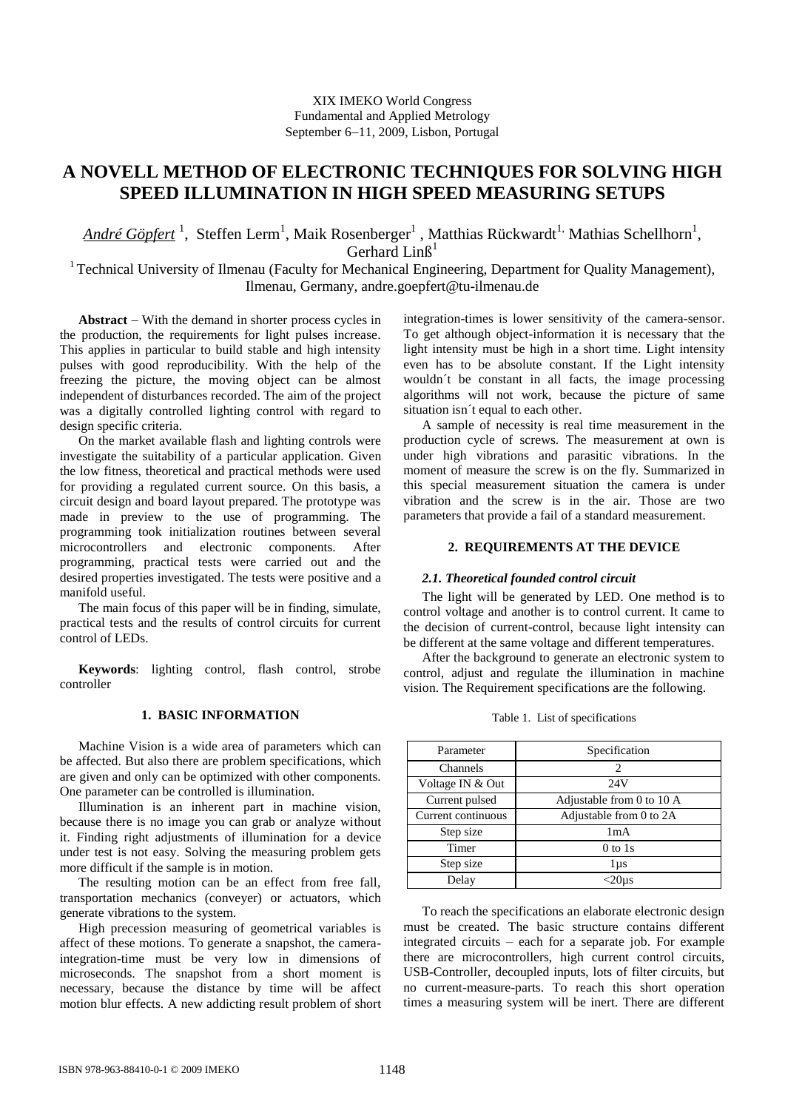# **A NOVELL METHOD OF ELECTRONIC TECHNIQUES FOR SOLVING HIGH SPEED ILLUMINATION IN HIGH SPEED MEASURING SETUPS**

André Göpfert <sup>1</sup>, Steffen Lerm<sup>1</sup>, Maik Rosenberger<sup>1</sup> , Matthias Rückwardt<sup>1,</sup> Mathias Schellhorn<sup>1</sup>, Gerhard  $LinB<sup>1</sup>$ 

<sup>1</sup> Technical University of Ilmenau (Faculty for Mechanical Engineering, Department for Quality Management), Ilmenau, Germany, andre.goepfert@tu-ilmenau.de

Abstract – With the demand in shorter process cycles in the production, the requirements for light pulses increase. This applies in particular to build stable and high intensity pulses with good reproducibility. With the help of the freezing the picture, the moving object can be almost independent of disturbances recorded. The aim of the project was a digitally controlled lighting control with regard to design specific criteria.

On the market available flash and lighting controls were investigate the suitability of a particular application. Given the low fitness, theoretical and practical methods were used for providing a regulated current source. On this basis, a circuit design and board layout prepared. The prototype was made in preview to the use of programming. The programming took initialization routines between several microcontrollers and electronic components. After programming, practical tests were carried out and the desired properties investigated. The tests were positive and a manifold useful.

The main focus of this paper will be in finding, simulate, practical tests and the results of control circuits for current control of LEDs.

**Keywords**: lighting control, flash control, strobe controller

## **1. BASIC INFORMATION**

Machine Vision is a wide area of parameters which can be affected. But also there are problem specifications, which are given and only can be optimized with other components. One parameter can be controlled is illumination.

Illumination is an inherent part in machine vision, because there is no image you can grab or analyze without it. Finding right adjustments of illumination for a device under test is not easy. Solving the measuring problem gets more difficult if the sample is in motion.

The resulting motion can be an effect from free fall, transportation mechanics (conveyer) or actuators, which generate vibrations to the system.

High precession measuring of geometrical variables is affect of these motions. To generate a snapshot, the cameraintegration-time must be very low in dimensions of microseconds. The snapshot from a short moment is necessary, because the distance by time will be affect motion blur effects. A new addicting result problem of short integration-times is lower sensitivity of the camera-sensor. To get although object-information it is necessary that the light intensity must be high in a short time. Light intensity even has to be absolute constant. If the Light intensity wouldn´t be constant in all facts, the image processing algorithms will not work, because the picture of same situation isn´t equal to each other.

A sample of necessity is real time measurement in the production cycle of screws. The measurement at own is under high vibrations and parasitic vibrations. In the moment of measure the screw is on the fly. Summarized in this special measurement situation the camera is under vibration and the screw is in the air. Those are two parameters that provide a fail of a standard measurement.

#### **2. REQUIREMENTS AT THE DEVICE**

## *2.1. Theoretical founded control circuit*

The light will be generated by LED. One method is to control voltage and another is to control current. It came to the decision of current-control, because light intensity can be different at the same voltage and different temperatures.

After the background to generate an electronic system to control, adjust and regulate the illumination in machine vision. The Requirement specifications are the following.

Table 1. List of specifications

| Parameter          | Specification             |
|--------------------|---------------------------|
| Channels           | 2                         |
| Voltage IN & Out   | 24V                       |
| Current pulsed     | Adjustable from 0 to 10 A |
| Current continuous | Adjustable from 0 to 2A   |
| Step size          | 1 <sub>m</sub> A          |
| Timer              | $0$ to 1s                 |
| Step size          | 1µs                       |
| Delay              | :20us                     |

To reach the specifications an elaborate electronic design must be created. The basic structure contains different integrated circuits – each for a separate job. For example there are microcontrollers, high current control circuits, USB-Controller, decoupled inputs, lots of filter circuits, but no current-measure-parts. To reach this short operation times a measuring system will be inert. There are different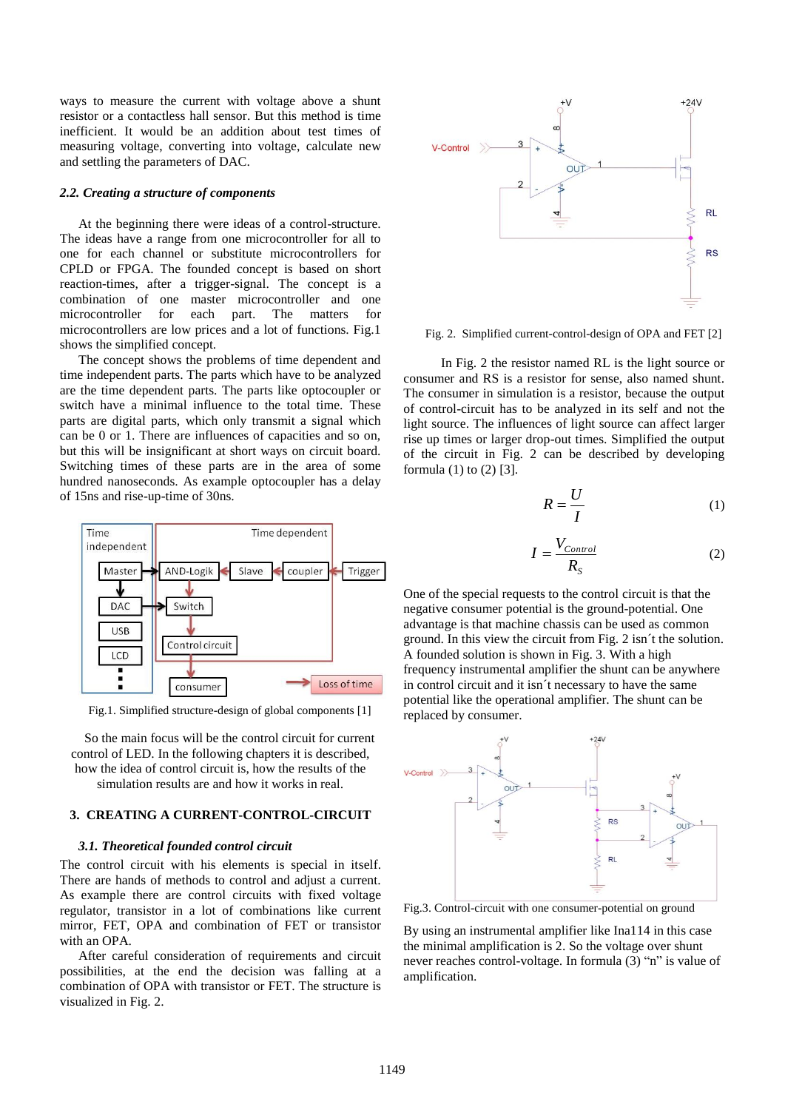ways to measure the current with voltage above a shunt resistor or a contactless hall sensor. But this method is time inefficient. It would be an addition about test times of measuring voltage, converting into voltage, calculate new and settling the parameters of DAC.

#### *2.2. Creating a structure of components*

At the beginning there were ideas of a control-structure. The ideas have a range from one microcontroller for all to one for each channel or substitute microcontrollers for CPLD or FPGA. The founded concept is based on short reaction-times, after a trigger-signal. The concept is a combination of one master microcontroller and one microcontroller for each part. The matters for microcontrollers are low prices and a lot of functions. Fig.1 shows the simplified concept.

The concept shows the problems of time dependent and time independent parts. The parts which have to be analyzed are the time dependent parts. The parts like optocoupler or switch have a minimal influence to the total time. These parts are digital parts, which only transmit a signal which can be 0 or 1. There are influences of capacities and so on, but this will be insignificant at short ways on circuit board. Switching times of these parts are in the area of some hundred nanoseconds. As example optocoupler has a delay of 15ns and rise-up-time of 30ns.



Fig.1. Simplified structure-design of global components [1]

So the main focus will be the control circuit for current control of LED. In the following chapters it is described, how the idea of control circuit is, how the results of the simulation results are and how it works in real.

## **3. CREATING A CURRENT-CONTROL-CIRCUIT**

#### *3.1. Theoretical founded control circuit*

The control circuit with his elements is special in itself. There are hands of methods to control and adjust a current. As example there are control circuits with fixed voltage regulator, transistor in a lot of combinations like current mirror, FET, OPA and combination of FET or transistor with an OPA.

After careful consideration of requirements and circuit possibilities, at the end the decision was falling at a combination of OPA with transistor or FET. The structure is visualized in Fig. 2.



Fig. 2. Simplified current-control-design of OPA and FET [2]

In Fig. 2 the resistor named RL is the light source or consumer and RS is a resistor for sense, also named shunt. The consumer in simulation is a resistor, because the output of control-circuit has to be analyzed in its self and not the light source. The influences of light source can affect larger rise up times or larger drop-out times. Simplified the output of the circuit in Fig. 2 can be described by developing formula (1) to (2) [3].

$$
R = \frac{U}{I} \tag{1}
$$

$$
I = \frac{V_{Control}}{R_S} \tag{2}
$$

One of the special requests to the control circuit is that the negative consumer potential is the ground-potential. One advantage is that machine chassis can be used as common ground. In this view the circuit from Fig. 2 isn´t the solution. A founded solution is shown in Fig. 3. With a high frequency instrumental amplifier the shunt can be anywhere in control circuit and it isn´t necessary to have the same potential like the operational amplifier. The shunt can be replaced by consumer.



Fig.3. Control-circuit with one consumer-potential on ground

By using an instrumental amplifier like Ina114 in this case the minimal amplification is 2. So the voltage over shunt never reaches control-voltage. In formula (3) "n" is value of amplification.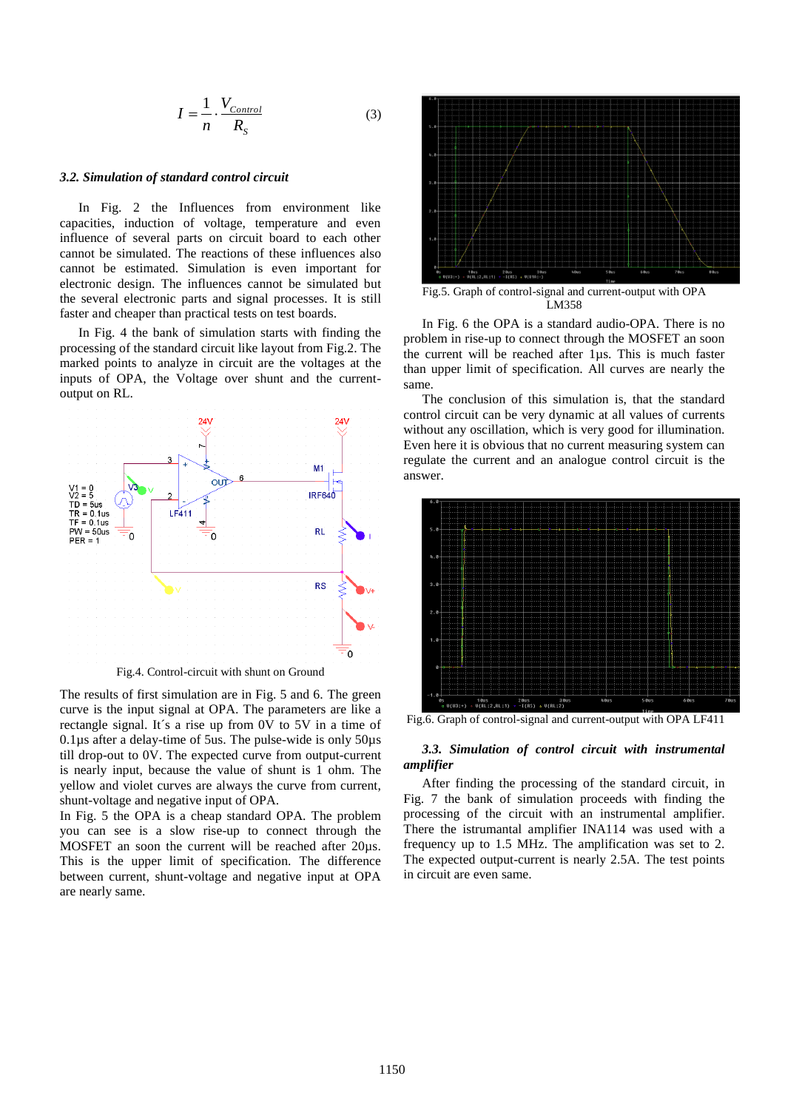$$
I = \frac{1}{n} \cdot \frac{V_{Control}}{R_S} \tag{3}
$$

#### *3.2. Simulation of standard control circuit*

In Fig. 2 the Influences from environment like capacities, induction of voltage, temperature and even influence of several parts on circuit board to each other cannot be simulated. The reactions of these influences also cannot be estimated. Simulation is even important for electronic design. The influences cannot be simulated but the several electronic parts and signal processes. It is still faster and cheaper than practical tests on test boards.

In Fig. 4 the bank of simulation starts with finding the processing of the standard circuit like layout from Fig.2. The marked points to analyze in circuit are the voltages at the inputs of OPA, the Voltage over shunt and the currentoutput on RL.



Fig.4. Control-circuit with shunt on Ground

The results of first simulation are in Fig. 5 and 6. The green curve is the input signal at OPA. The parameters are like a rectangle signal. It´s a rise up from 0V to 5V in a time of 0.1µs after a delay-time of 5us. The pulse-wide is only 50µs till drop-out to 0V. The expected curve from output-current is nearly input, because the value of shunt is 1 ohm. The yellow and violet curves are always the curve from current, shunt-voltage and negative input of OPA.

In Fig. 5 the OPA is a cheap standard OPA. The problem you can see is a slow rise-up to connect through the MOSFET an soon the current will be reached after 20µs. This is the upper limit of specification. The difference between current, shunt-voltage and negative input at OPA are nearly same.



Fig.5. Graph of control-signal and current-output with OPA LM358

In Fig. 6 the OPA is a standard audio-OPA. There is no problem in rise-up to connect through the MOSFET an soon the current will be reached after 1µs. This is much faster than upper limit of specification. All curves are nearly the same.

The conclusion of this simulation is, that the standard control circuit can be very dynamic at all values of currents without any oscillation, which is very good for illumination. Even here it is obvious that no current measuring system can regulate the current and an analogue control circuit is the answer.



Fig.6. Graph of control-signal and current-output with OPA LF411

#### *3.3. Simulation of control circuit with instrumental amplifier*

After finding the processing of the standard circuit, in Fig. 7 the bank of simulation proceeds with finding the processing of the circuit with an instrumental amplifier. There the istrumantal amplifier INA114 was used with a frequency up to 1.5 MHz. The amplification was set to 2. The expected output-current is nearly 2.5A. The test points in circuit are even same.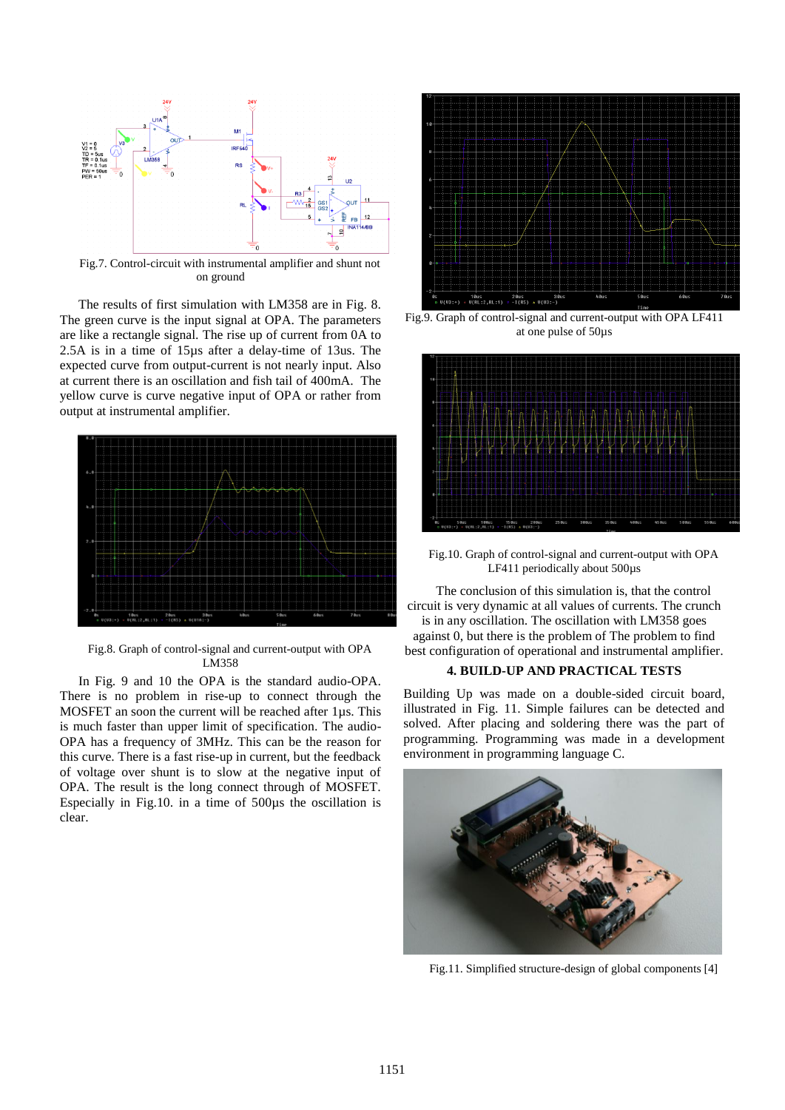

Fig.7. Control-circuit with instrumental amplifier and shunt not on ground

The results of first simulation with LM358 are in Fig. 8. The green curve is the input signal at OPA. The parameters are like a rectangle signal. The rise up of current from 0A to 2.5A is in a time of 15µs after a delay-time of 13us. The expected curve from output-current is not nearly input. Also at current there is an oscillation and fish tail of 400mA. The yellow curve is curve negative input of OPA or rather from output at instrumental amplifier.



Fig.8. Graph of control-signal and current-output with OPA LM358

In Fig. 9 and 10 the OPA is the standard audio-OPA. There is no problem in rise-up to connect through the MOSFET an soon the current will be reached after 1µs. This is much faster than upper limit of specification. The audio-OPA has a frequency of 3MHz. This can be the reason for this curve. There is a fast rise-up in current, but the feedback of voltage over shunt is to slow at the negative input of OPA. The result is the long connect through of MOSFET. Especially in Fig.10. in a time of 500µs the oscillation is clear.



Fig.9. Graph of control-signal and current-output with OPA LF411 at one pulse of 50µs



Fig.10. Graph of control-signal and current-output with OPA LF411 periodically about 500 $\mu$ s

The conclusion of this simulation is, that the control circuit is very dynamic at all values of currents. The crunch is in any oscillation. The oscillation with LM358 goes

against 0, but there is the problem of The problem to find best configuration of operational and instrumental amplifier.

### **4. BUILD-UP AND PRACTICAL TESTS**

Building Up was made on a double-sided circuit board, illustrated in Fig. 11. Simple failures can be detected and solved. After placing and soldering there was the part of programming. Programming was made in a development environment in programming language C.



Fig.11. Simplified structure-design of global components [4]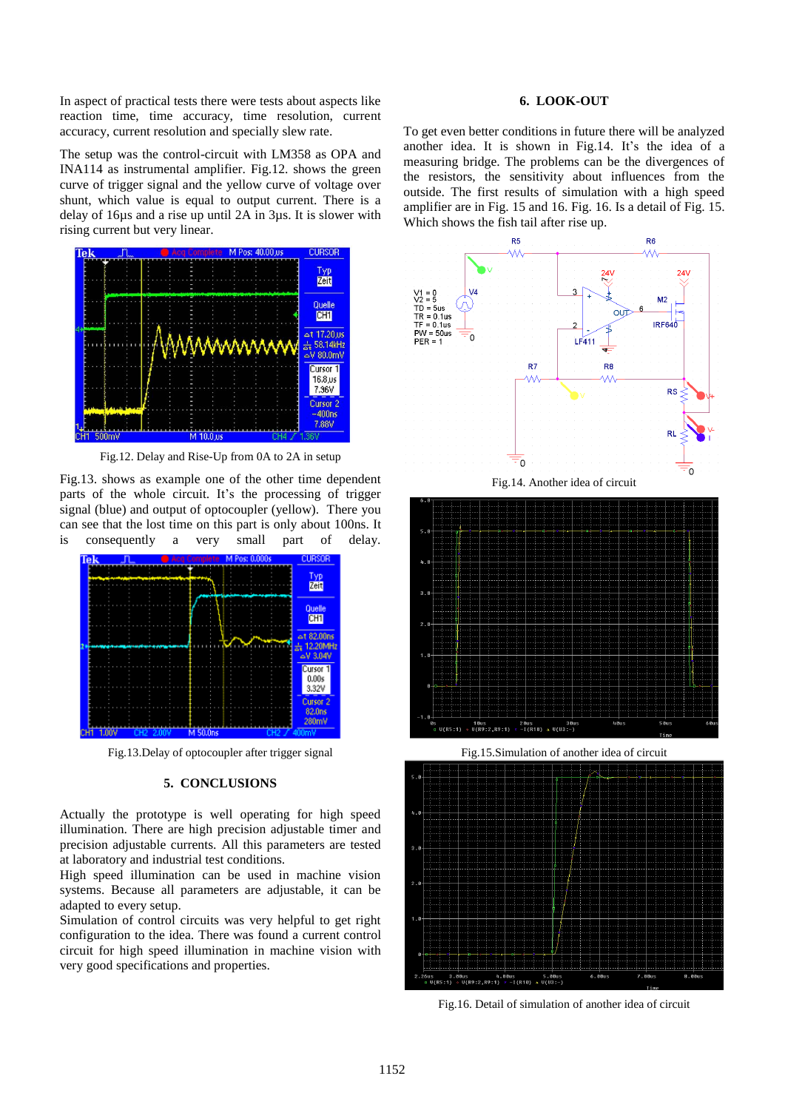In aspect of practical tests there were tests about aspects like reaction time, time accuracy, time resolution, current accuracy, current resolution and specially slew rate.

The setup was the control-circuit with LM358 as OPA and INA114 as instrumental amplifier. Fig.12. shows the green curve of trigger signal and the yellow curve of voltage over shunt, which value is equal to output current. There is a delay of 16µs and a rise up until 2A in 3µs. It is slower with rising current but very linear.



Fig.12. Delay and Rise-Up from 0A to 2A in setup

Fig.13. shows as example one of the other time dependent parts of the whole circuit. It's the processing of trigger signal (blue) and output of optocoupler (yellow). There you can see that the lost time on this part is only about 100ns. It is consequently a very small part of delay.



Fig.13.Delay of optocoupler after trigger signal

#### **5. CONCLUSIONS**

Actually the prototype is well operating for high speed illumination. There are high precision adjustable timer and precision adjustable currents. All this parameters are tested at laboratory and industrial test conditions.

High speed illumination can be used in machine vision systems. Because all parameters are adjustable, it can be adapted to every setup.

Simulation of control circuits was very helpful to get right configuration to the idea. There was found a current control circuit for high speed illumination in machine vision with very good specifications and properties.

### **6. LOOK-OUT**

To get even better conditions in future there will be analyzed another idea. It is shown in Fig.14. It's the idea of a measuring bridge. The problems can be the divergences of the resistors, the sensitivity about influences from the outside. The first results of simulation with a high speed amplifier are in Fig. 15 and 16. Fig. 16. Is a detail of Fig. 15. Which shows the fish tail after rise up.



Fig.15.Simulation of another idea of circuit



Fig.16. Detail of simulation of another idea of circuit